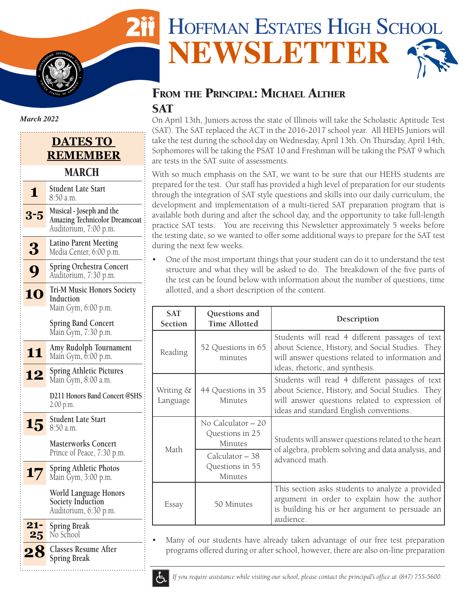# HOFFMAN ESTATES HIGH SCHOOL **NEWSLETTER**

# FROM THE PRINCIPAL: MICHAEL ALTHER **SAT**

On April 13th, Juniors across the state of Illinois will take the Scholastic Aptitude Test (SAT). The SAT replaced the ACT in the 2016-2017 school year. All HEHS Juniors will take the test during the school day on Wednesday, April 13th. On Thursday, April 14th, Sophomores will be taking the PSAT 10 and Freshman will be taking the PSAT 9 which are tests in the SAT suite of assessments.

With so much emphasis on the SAT, we want to be sure that our HEHS students are prepared for the test. Our staff has provided a high level of preparation for our students through the integration of SAT style questions and skills into our daily curriculum, the development and implementation of a multi-tiered SAT preparation program that is available both during and after the school day, and the opportunity to take full-length practice SAT tests. You are receiving this Newsletter approximately 5 weeks before the testing date, so we wanted to offer some additional ways to prepare for the SAT test during the next few weeks.

• One of the most important things that your student can do it to understand the test structure and what they will be asked to do. The breakdown of the five parts of the test can be found below with information about the number of questions, time allotted, and a short description of the content.

|  | <b>SAT</b><br>Section | Questions and<br><b>Time Allotted</b>             | Description                                                                                                                                                                                      |  |
|--|-----------------------|---------------------------------------------------|--------------------------------------------------------------------------------------------------------------------------------------------------------------------------------------------------|--|
|  | Reading               | 52 Questions in 65<br>minutes                     | Students will read 4 different passages of text<br>about Science, History, and Social Studies. They<br>will answer questions related to information and<br>ideas, rhetoric, and synthesis.       |  |
|  | Writing &<br>Language | 44 Questions in 35<br>Minutes                     | Students will read 4 different passages of text<br>about Science, History, and Social Studies. They<br>will answer questions related to expression of<br>ideas and standard English conventions. |  |
|  | Math                  | No Calculator $-20$<br>Questions in 25<br>Minutes | Students will answer questions related to the heart<br>of algebra, problem solving and data analysis, and<br>advanced math.                                                                      |  |
|  |                       | Calculator – 38<br>Questions in 55<br>Minutes     |                                                                                                                                                                                                  |  |
|  | Essay                 | 50 Minutes                                        | This section asks students to analyze a provided<br>argument in order to explain how the author<br>is building his or her argument to persuade an<br>audience.                                   |  |

Many of our students have already taken advantage of our free test preparation programs offered during or after school, however, there are also on-line preparation



*If you require assistance while visiting our school, please contact the principal's office at (847) 755-5600.*



**I**  $\frac{1}{2}$ 

**S** 

**S TATES** OF AMERICAL

## **DATES TO REMEMBER** MARCH

|              | Student Late Start<br>8:50 a.m.                                                           |  |  |  |
|--------------|-------------------------------------------------------------------------------------------|--|--|--|
| 3-5          | Musical - Joseph and the<br><b>Amazing Technicolor Dreamcoat</b><br>Auditorium, 7:00 p.m. |  |  |  |
| 3            | <b>Latino Parent Meeting</b><br>Media Center, 6:00 p.m.                                   |  |  |  |
|              | <b>Spring Orchestra Concert</b><br>Auditorium, 7:30 p.m.                                  |  |  |  |
| 10           | <b>Tri-M Music Honors Society</b><br>Induction<br>Main Gym, 6:00 p.m.                     |  |  |  |
|              | <b>Spring Band Concert</b><br>Main Ğym, 7:30 p.m.                                         |  |  |  |
| 11           | Amy Rudolph Tournament<br>Main Gym, 6:00 p.m.                                             |  |  |  |
|              | <b>Spring Athletic Pictures</b><br>Main Gym, 8:00 a.m.                                    |  |  |  |
|              | <b>D211 Honors Band Concert @SHS</b><br>2:00 p.m.                                         |  |  |  |
| 15           | <b>Student Late Start</b><br>8:50 a.m.                                                    |  |  |  |
|              | <b>Masterworks Concert</b><br>Prince of Peace, 7:30 p.m.                                  |  |  |  |
| 17           | <b>Spring Athletic Photos</b><br>Main Ğym, 3:00 p.m.                                      |  |  |  |
|              | World Language Honors<br><b>Society Induction</b><br>Auditorium, 6:30 p.m.                |  |  |  |
| $21 -$<br>25 | <b>Spring Break</b><br>No School                                                          |  |  |  |
|              | <b>Classes Resume After</b><br><b>Spring Break</b>                                        |  |  |  |
|              |                                                                                           |  |  |  |